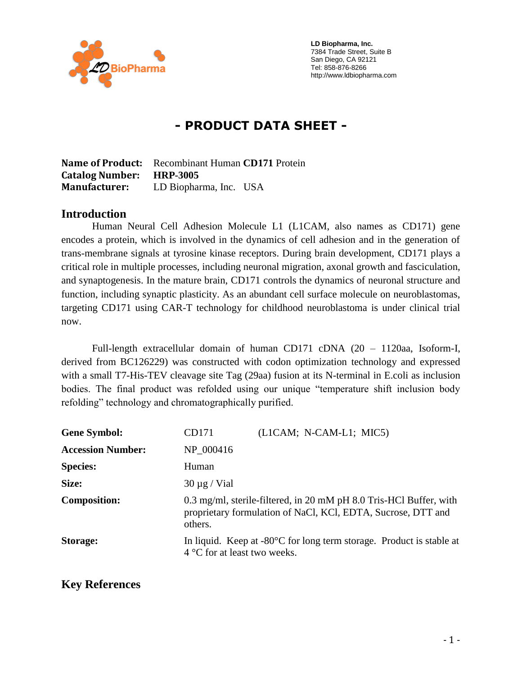

 **LD Biopharma, Inc.** 7384 Trade Street, Suite B San Diego, CA 92121 Tel: 858-876-8266 http://www.ldbiopharma.com

# **- PRODUCT DATA SHEET -**

**Name of Product:** Recombinant Human **CD171** Protein **Catalog Number: HRP-3005 Manufacturer:** LD Biopharma, Inc. USA

#### **Introduction**

Human Neural Cell Adhesion Molecule L1 (L1CAM, also names as CD171) gene encodes a protein, which is involved in the dynamics of cell adhesion and in the generation of trans-membrane signals at tyrosine kinase receptors. During brain development, CD171 plays a critical role in multiple processes, including neuronal migration, axonal growth and fasciculation, and synaptogenesis. In the mature brain, CD171 controls the dynamics of neuronal structure and function, including synaptic plasticity. As an abundant cell surface molecule on neuroblastomas, targeting CD171 using CAR-T technology for childhood neuroblastoma is under clinical trial now.

Full-length extracellular domain of human CD171 cDNA (20 – 1120aa, Isoform-I, derived from BC126229) was constructed with codon optimization technology and expressed with a small T7-His-TEV cleavage site Tag (29aa) fusion at its N-terminal in E.coli as inclusion bodies. The final product was refolded using our unique "temperature shift inclusion body refolding" technology and chromatographically purified.

| <b>Gene Symbol:</b>      | CD171                                                                                                                                         | (L1CAM; N-CAM-L1; MIC5)                                                        |
|--------------------------|-----------------------------------------------------------------------------------------------------------------------------------------------|--------------------------------------------------------------------------------|
| <b>Accession Number:</b> | NP 000416                                                                                                                                     |                                                                                |
| <b>Species:</b>          | Human                                                                                                                                         |                                                                                |
| Size:                    | $30 \mu g$ / Vial                                                                                                                             |                                                                                |
| <b>Composition:</b>      | 0.3 mg/ml, sterile-filtered, in 20 mM pH 8.0 Tris-HCl Buffer, with<br>proprietary formulation of NaCl, KCl, EDTA, Sucrose, DTT and<br>others. |                                                                                |
| Storage:                 | $4^{\circ}$ C for at least two weeks.                                                                                                         | In liquid. Keep at $-80^{\circ}$ C for long term storage. Product is stable at |

#### **Key References**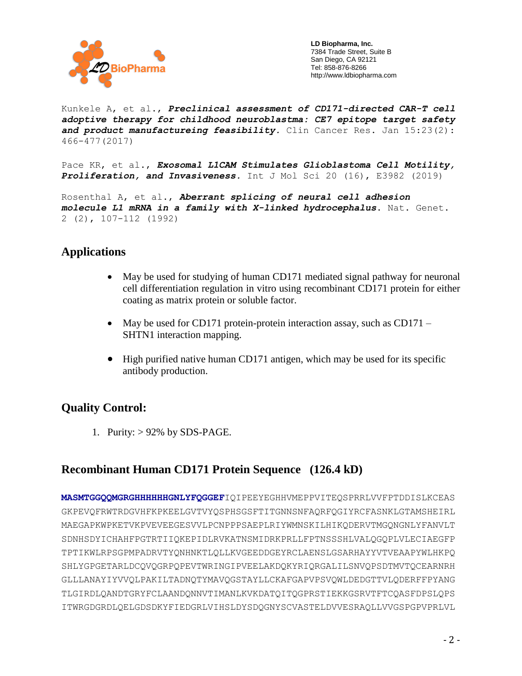

 **LD Biopharma, Inc.** 7384 Trade Street, Suite B San Diego, CA 92121 Tel: 858-876-8266 http://www.ldbiopharma.com

Kunkele A, et al., *Preclinical assessment of CD171-directed CAR-T cell adoptive therapy for childhood neuroblastma: CE7 epitope target safety and product manufactureing feasibility.* Clin Cancer Res. Jan 15:23(2): 466-477(2017)

Pace KR, et al., *Exosomal L1CAM Stimulates Glioblastoma Cell Motility, Proliferation, and Invasiveness.* Int J Mol Sci 20 (16), E3982 (2019)

Rosenthal A, et al., *Aberrant splicing of neural cell adhesion molecule L1 mRNA in a family with X-linked hydrocephalus*. Nat. Genet. 2 (2), 107-112 (1992)

## **Applications**

- May be used for studying of human CD171 mediated signal pathway for neuronal cell differentiation regulation in vitro using recombinant CD171 protein for either coating as matrix protein or soluble factor.
- May be used for CD171 protein-protein interaction assay, such as CD171 SHTN1 interaction mapping.
- High purified native human CD171 antigen, which may be used for its specific antibody production.

### **Quality Control:**

1. Purity: > 92% by SDS-PAGE.

### **Recombinant Human CD171 Protein Sequence (126.4 kD)**

**MASMTGGQQMGRGHHHHHHGNLYFQGGEF**IQIPEEYEGHHVMEPPVITEQSPRRLVVFPTDDISLKCEAS GKPEVQFRWTRDGVHFKPKEELGVTVYQSPHSGSFTITGNNSNFAQRFQGIYRCFASNKLGTAMSHEIRL MAEGAPKWPKETVKPVEVEEGESVVLPCNPPPSAEPLRIYWMNSKILHIKQDERVTMGQNGNLYFANVLT SDNHSDYICHAHFPGTRTIIQKEPIDLRVKATNSMIDRKPRLLFPTNSSSHLVALQGQPLVLECIAEGFP TPTIKWLRPSGPMPADRVTYQNHNKTLQLLKVGEEDDGEYRCLAENSLGSARHAYYVTVEAAPYWLHKPQ SHLYGPGETARLDCQVQGRPQPEVTWRINGIPVEELAKDQKYRIQRGALILSNVQPSDTMVTQCEARNRH GLLLANAYIYVVQLPAKILTADNQTYMAVQGSTAYLLCKAFGAPVPSVQWLDEDGTTVLQDERFFPYANG TLGIRDLQANDTGRYFCLAANDQNNVTIMANLKVKDATQITQGPRSTIEKKGSRVTFTCQASFDPSLQPS ITWRGDGRDLQELGDSDKYFIEDGRLVIHSLDYSDQGNYSCVASTELDVVESRAQLLVVGSPGPVPRLVL